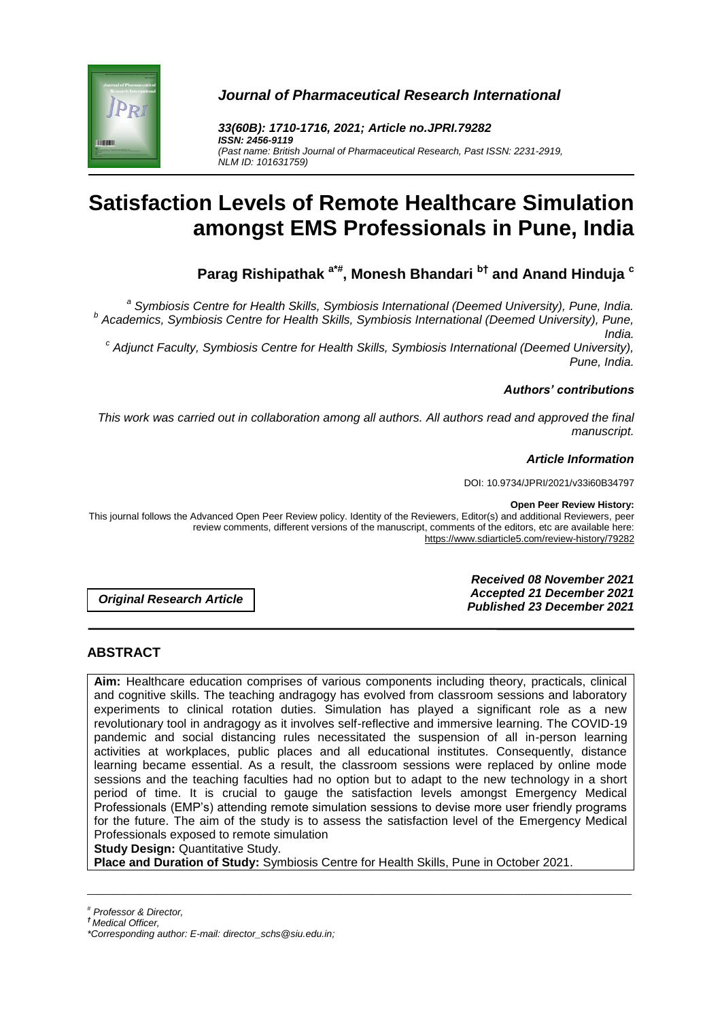

*Journal of Pharmaceutical Research International*

*33(60B): 1710-1716, 2021; Article no.JPRI.79282 ISSN: 2456-9119 (Past name: British Journal of Pharmaceutical Research, Past ISSN: 2231-2919, NLM ID: 101631759)*

# **Satisfaction Levels of Remote Healthcare Simulation amongst EMS Professionals in Pune, India**

**Parag Rishipathak a\*# , Monesh Bhandari b† and Anand Hinduja <sup>c</sup>**

*a Symbiosis Centre for Health Skills, Symbiosis International (Deemed University), Pune, India. b Academics, Symbiosis Centre for Health Skills, Symbiosis International (Deemed University), Pune, India.*

*c Adjunct Faculty, Symbiosis Centre for Health Skills, Symbiosis International (Deemed University), Pune, India.*

## *Authors' contributions*

*This work was carried out in collaboration among all authors. All authors read and approved the final manuscript.*

## *Article Information*

DOI: 10.9734/JPRI/2021/v33i60B34797

#### **Open Peer Review History:**

This journal follows the Advanced Open Peer Review policy. Identity of the Reviewers, Editor(s) and additional Reviewers, peer review comments, different versions of the manuscript, comments of the editors, etc are available here: https://www.sdiarticle5.com/review-history/79282

*Original Research Article*

*Received 08 November 2021 Accepted 21 December 2021 Published 23 December 2021*

# **ABSTRACT**

**Aim:** Healthcare education comprises of various components including theory, practicals, clinical and cognitive skills. The teaching andragogy has evolved from classroom sessions and laboratory experiments to clinical rotation duties. Simulation has played a significant role as a new revolutionary tool in andragogy as it involves self-reflective and immersive learning. The COVID-19 pandemic and social distancing rules necessitated the suspension of all in-person learning activities at workplaces, public places and all educational institutes. Consequently, distance learning became essential. As a result, the classroom sessions were replaced by online mode sessions and the teaching faculties had no option but to adapt to the new technology in a short period of time. It is crucial to gauge the satisfaction levels amongst Emergency Medical Professionals (EMP's) attending remote simulation sessions to devise more user friendly programs for the future. The aim of the study is to assess the satisfaction level of the Emergency Medical Professionals exposed to remote simulation

\_\_\_\_\_\_\_\_\_\_\_\_\_\_\_\_\_\_\_\_\_\_\_\_\_\_\_\_\_\_\_\_\_\_\_\_\_\_\_\_\_\_\_\_\_\_\_\_\_\_\_\_\_\_\_\_\_\_\_\_\_\_\_\_\_\_\_\_\_\_\_\_\_\_\_\_\_\_\_\_\_\_\_\_\_\_\_\_\_\_\_\_\_\_\_\_\_\_\_\_\_

**Study Design:** Quantitative Study.

**Place and Duration of Study:** Symbiosis Centre for Health Skills, Pune in October 2021.

*# Professor & Director,*

*† Medical Officer,*

*<sup>\*</sup>Corresponding author: E-mail: director\_schs@siu.edu.in;*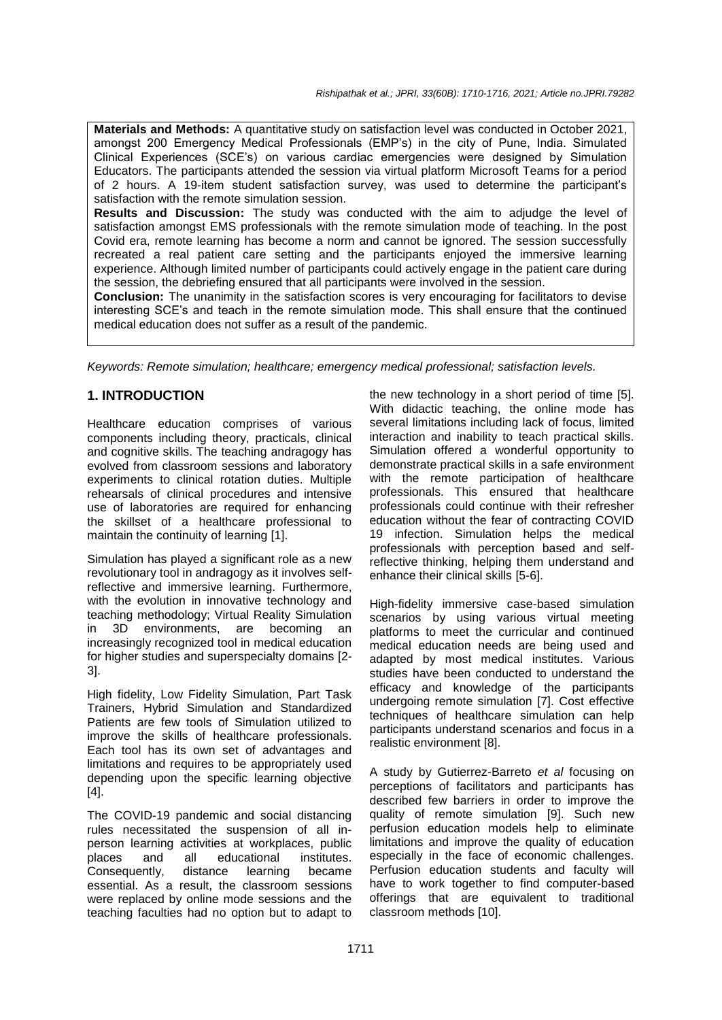**Materials and Methods:** A quantitative study on satisfaction level was conducted in October 2021, amongst 200 Emergency Medical Professionals (EMP's) in the city of Pune, India. Simulated Clinical Experiences (SCE's) on various cardiac emergencies were designed by Simulation Educators. The participants attended the session via virtual platform Microsoft Teams for a period of 2 hours. A 19-item student satisfaction survey, was used to determine the participant's satisfaction with the remote simulation session.

**Results and Discussion:** The study was conducted with the aim to adjudge the level of satisfaction amongst EMS professionals with the remote simulation mode of teaching. In the post Covid era, remote learning has become a norm and cannot be ignored. The session successfully recreated a real patient care setting and the participants enjoyed the immersive learning experience. Although limited number of participants could actively engage in the patient care during the session, the debriefing ensured that all participants were involved in the session.

**Conclusion:** The unanimity in the satisfaction scores is very encouraging for facilitators to devise interesting SCE's and teach in the remote simulation mode. This shall ensure that the continued medical education does not suffer as a result of the pandemic.

*Keywords: Remote simulation; healthcare; emergency medical professional; satisfaction levels.*

## **1. INTRODUCTION**

Healthcare education comprises of various components including theory, practicals, clinical and cognitive skills. The teaching andragogy has evolved from classroom sessions and laboratory experiments to clinical rotation duties. Multiple rehearsals of clinical procedures and intensive use of laboratories are required for enhancing the skillset of a healthcare professional to maintain the continuity of learning [1].

Simulation has played a significant role as a new revolutionary tool in andragogy as it involves selfreflective and immersive learning. Furthermore, with the evolution in innovative technology and teaching methodology; Virtual Reality Simulation in 3D environments, are becoming an increasingly recognized tool in medical education for higher studies and superspecialty domains [2- 3].

High fidelity, Low Fidelity Simulation, Part Task Trainers, Hybrid Simulation and Standardized Patients are few tools of Simulation utilized to improve the skills of healthcare professionals. Each tool has its own set of advantages and limitations and requires to be appropriately used depending upon the specific learning objective [4].

The COVID-19 pandemic and social distancing rules necessitated the suspension of all inperson learning activities at workplaces, public places and all educational institutes. Consequently, distance learning became essential. As a result, the classroom sessions were replaced by online mode sessions and the teaching faculties had no option but to adapt to

the new technology in a short period of time [5]. With didactic teaching, the online mode has several limitations including lack of focus, limited interaction and inability to teach practical skills. Simulation offered a wonderful opportunity to demonstrate practical skills in a safe environment with the remote participation of healthcare professionals. This ensured that healthcare professionals could continue with their refresher education without the fear of contracting COVID 19 infection. Simulation helps the medical professionals with perception based and selfreflective thinking, helping them understand and enhance their clinical skills [5-6].

High-fidelity immersive case-based simulation scenarios by using various virtual meeting platforms to meet the curricular and continued medical education needs are being used and adapted by most medical institutes. Various studies have been conducted to understand the efficacy and knowledge of the participants undergoing remote simulation [7]. Cost effective techniques of healthcare simulation can help participants understand scenarios and focus in a realistic environment [8].

A study by Gutierrez-Barreto *et al* focusing on perceptions of facilitators and participants has described few barriers in order to improve the quality of remote simulation [9]. Such new perfusion education models help to eliminate limitations and improve the quality of education especially in the face of economic challenges. Perfusion education students and faculty will have to work together to find computer-based offerings that are equivalent to traditional classroom methods [10].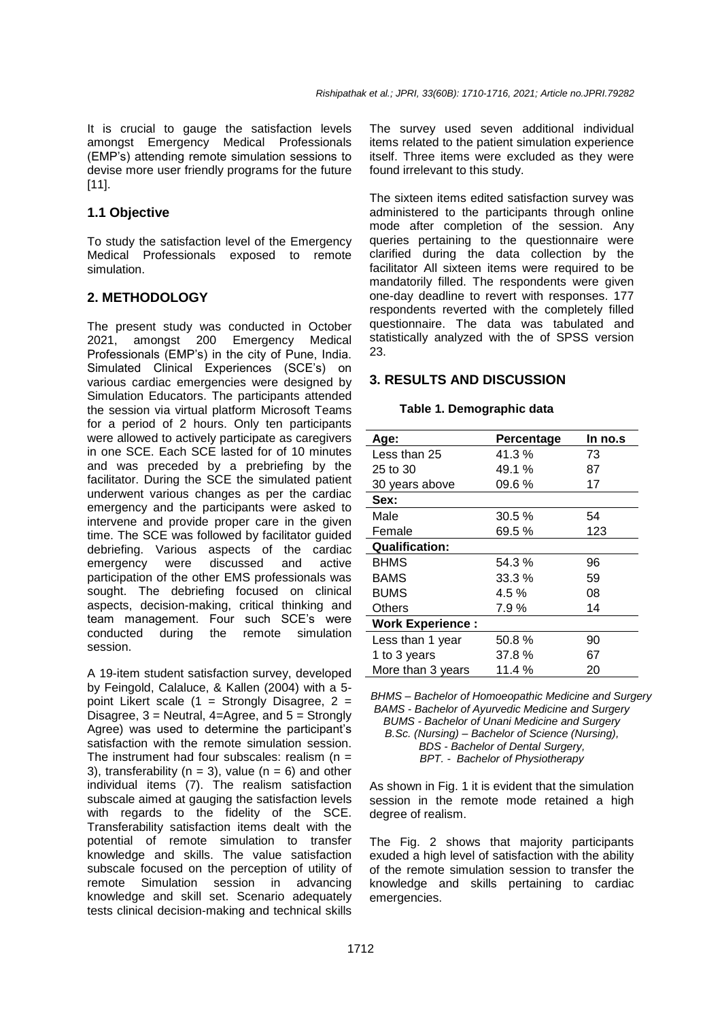It is crucial to gauge the satisfaction levels amongst Emergency Medical Professionals (EMP's) attending remote simulation sessions to devise more user friendly programs for the future [11].

## **1.1 Objective**

To study the satisfaction level of the Emergency Medical Professionals exposed to remote simulation.

## **2. METHODOLOGY**

The present study was conducted in October 2021, amongst 200 Emergency Medical Professionals (EMP's) in the city of Pune, India. Simulated Clinical Experiences (SCE's) on various cardiac emergencies were designed by Simulation Educators. The participants attended the session via virtual platform Microsoft Teams for a period of 2 hours. Only ten participants were allowed to actively participate as caregivers in one SCE. Each SCE lasted for of 10 minutes and was preceded by a prebriefing by the facilitator. During the SCE the simulated patient underwent various changes as per the cardiac emergency and the participants were asked to intervene and provide proper care in the given time. The SCE was followed by facilitator guided debriefing. Various aspects of the cardiac emergency were discussed and active participation of the other EMS professionals was sought. The debriefing focused on clinical aspects, decision-making, critical thinking and team management. Four such SCE's were conducted during the remote simulation session.

A 19-item student satisfaction survey, developed by Feingold, Calaluce, & Kallen (2004) with a 5 point Likert scale  $(1 =$  Strongly Disagree,  $2 =$ Disagree, 3 = Neutral, 4=Agree, and 5 = Strongly Agree) was used to determine the participant's satisfaction with the remote simulation session. The instrument had four subscales: realism  $(n =$ 3), transferability ( $n = 3$ ), value ( $n = 6$ ) and other individual items (7). The realism satisfaction subscale aimed at gauging the satisfaction levels with regards to the fidelity of the SCE. Transferability satisfaction items dealt with the potential of remote simulation to transfer knowledge and skills. The value satisfaction subscale focused on the perception of utility of remote Simulation session in advancing knowledge and skill set. Scenario adequately tests clinical decision-making and technical skills

The survey used seven additional individual items related to the patient simulation experience itself. Three items were excluded as they were found irrelevant to this study.

The sixteen items edited satisfaction survey was administered to the participants through online mode after completion of the session. Any queries pertaining to the questionnaire were clarified during the data collection by the facilitator All sixteen items were required to be mandatorily filled. The respondents were given one-day deadline to revert with responses. 177 respondents reverted with the completely filled questionnaire. The data was tabulated and statistically analyzed with the of SPSS version 23.

## **3. RESULTS AND DISCUSSION**

#### **Table 1. Demographic data**

| Age:                    | Percentage | In no.s |
|-------------------------|------------|---------|
| Less than 25            | 41.3%      | 73      |
| 25 to 30                | 49.1 %     | 87      |
| 30 years above          | 09.6%      | 17      |
| Sex:                    |            |         |
| Male                    | 30.5%      | 54      |
| Female                  | 69.5%      | 123     |
| <b>Qualification:</b>   |            |         |
| <b>BHMS</b>             | 54.3%      | 96      |
| <b>BAMS</b>             | 33.3%      | 59      |
| <b>BUMS</b>             | 4.5 %      | 08      |
| Others                  | 7.9%       | 14      |
| <b>Work Experience:</b> |            |         |
| Less than 1 year        | 50.8%      | 90      |
| 1 to 3 years            | 37.8%      | 67      |
| More than 3 years       | 11.4 %     | 20      |

*BHMS – Bachelor of Homoeopathic Medicine and Surgery BAMS - Bachelor of Ayurvedic Medicine and Surgery BUMS - Bachelor of Unani Medicine and Surgery B.Sc. (Nursing) – Bachelor of Science (Nursing), BDS - Bachelor of Dental Surgery, BPT. - Bachelor of Physiotherapy*

As shown in Fig. 1 it is evident that the simulation session in the remote mode retained a high degree of realism.

The Fig. 2 shows that majority participants exuded a high level of satisfaction with the ability of the remote simulation session to transfer the knowledge and skills pertaining to cardiac emergencies.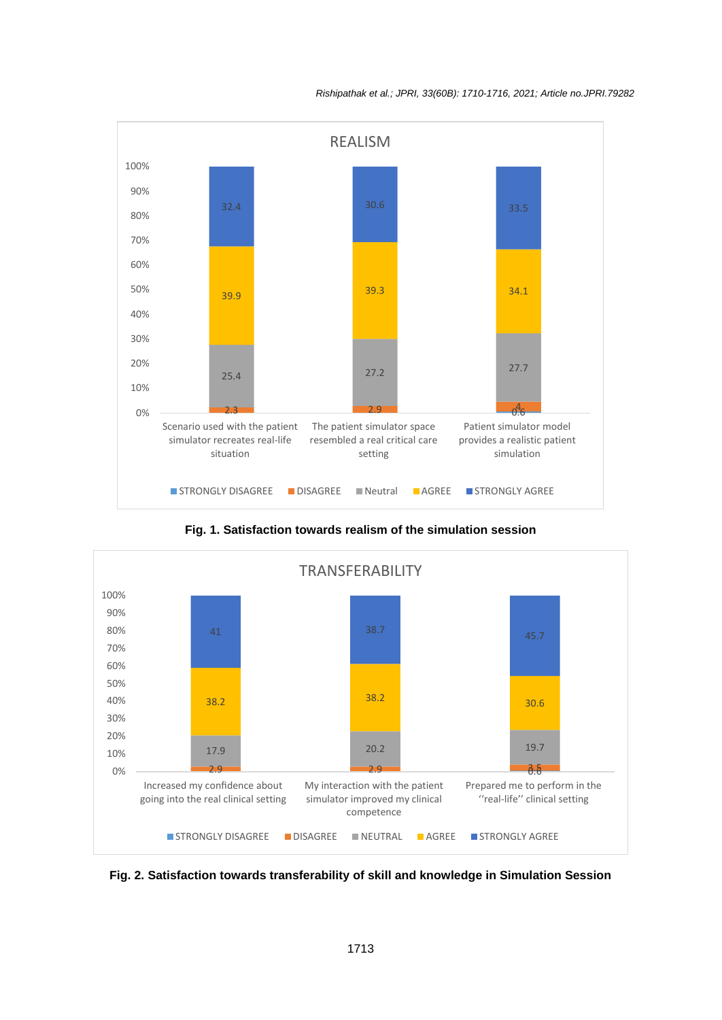#### *Rishipathak et al.; JPRI, 33(60B): 1710-1716, 2021; Article no.JPRI.79282*



**Fig. 1. Satisfaction towards realism of the simulation session**



**Fig. 2. Satisfaction towards transferability of skill and knowledge in Simulation Session**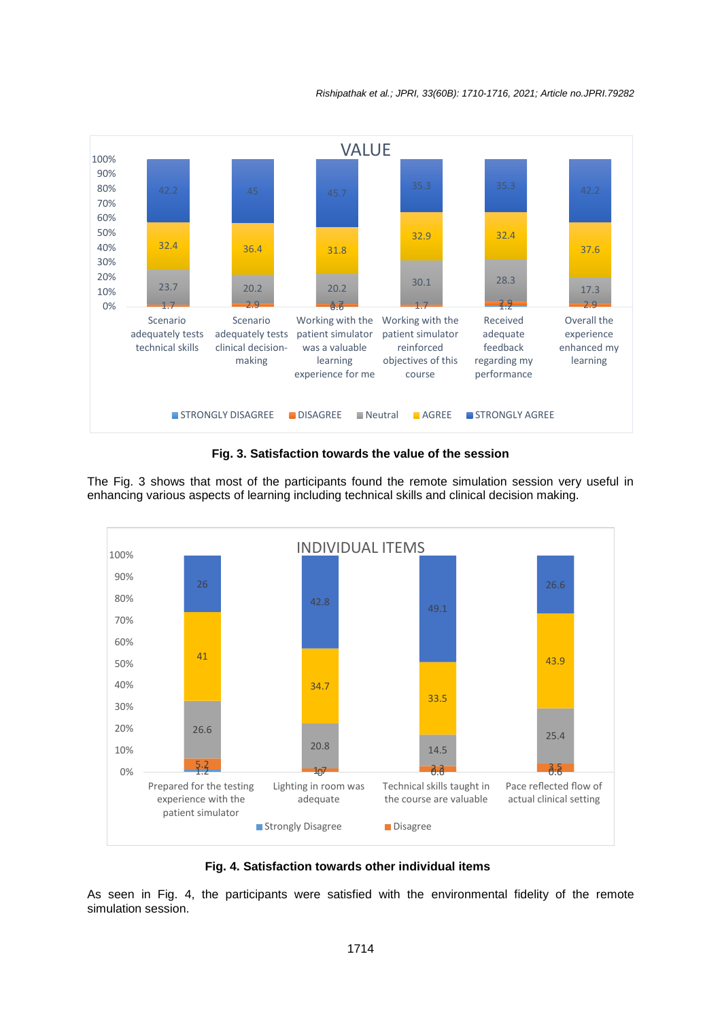

**Fig. 3. Satisfaction towards the value of the session**

The Fig. 3 shows that most of the participants found the remote simulation session very useful in enhancing various aspects of learning including technical skills and clinical decision making.



#### **Fig. 4. Satisfaction towards other individual items**

As seen in Fig. 4, the participants were satisfied with the environmental fidelity of the remote simulation session.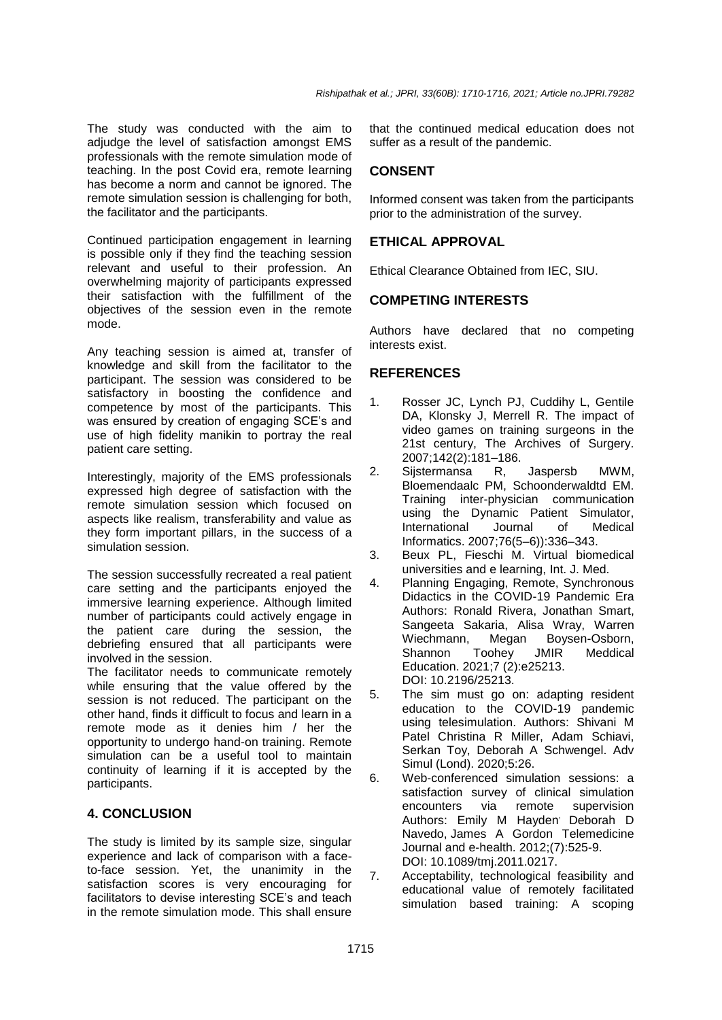The study was conducted with the aim to adjudge the level of satisfaction amongst EMS professionals with the remote simulation mode of teaching. In the post Covid era, remote learning has become a norm and cannot be ignored. The remote simulation session is challenging for both, the facilitator and the participants.

Continued participation engagement in learning is possible only if they find the teaching session relevant and useful to their profession. An overwhelming majority of participants expressed their satisfaction with the fulfillment of the objectives of the session even in the remote mode.

Any teaching session is aimed at, transfer of knowledge and skill from the facilitator to the participant. The session was considered to be satisfactory in boosting the confidence and competence by most of the participants. This was ensured by creation of engaging SCE's and use of high fidelity manikin to portray the real patient care setting.

Interestingly, majority of the EMS professionals expressed high degree of satisfaction with the remote simulation session which focused on aspects like realism, transferability and value as they form important pillars, in the success of a simulation session.

The session successfully recreated a real patient care setting and the participants enjoyed the immersive learning experience. Although limited number of participants could actively engage in the patient care during the session, the debriefing ensured that all participants were involved in the session.

The facilitator needs to communicate remotely while ensuring that the value offered by the session is not reduced. The participant on the other hand, finds it difficult to focus and learn in a remote mode as it denies him / her the opportunity to undergo hand-on training. Remote simulation can be a useful tool to maintain continuity of learning if it is accepted by the participants.

# **4. CONCLUSION**

The study is limited by its sample size, singular experience and lack of comparison with a faceto-face session. Yet, the unanimity in the satisfaction scores is very encouraging for facilitators to devise interesting SCE's and teach in the remote simulation mode. This shall ensure

that the continued medical education does not suffer as a result of the pandemic.

# **CONSENT**

Informed consent was taken from the participants prior to the administration of the survey.

# **ETHICAL APPROVAL**

Ethical Clearance Obtained from IEC, SIU.

# **COMPETING INTERESTS**

Authors have declared that no competing interests exist.

# **REFERENCES**

- 1. Rosser JC, Lynch PJ, Cuddihy L, Gentile DA, Klonsky J, Merrell R. The impact of video games on training surgeons in the 21st century, The Archives of Surgery. 2007;142(2):181–186.
- 2. Sijstermansa R, Jaspersb MWM, Bloemendaalc PM, Schoonderwaldtd EM. Training inter-physician communication using the Dynamic Patient Simulator, International Journal of Medical Informatics. 2007;76(5–6)):336–343.
- 3. Beux PL, Fieschi M. Virtual biomedical universities and e learning, Int. J. Med.
- 4. Planning Engaging, Remote, Synchronous Didactics in the COVID-19 Pandemic Era Authors: [Ronald Rivera,](https://pubmed.ncbi.nlm.nih.gov/?term=Rivera+R&cauthor_id=33872191) [Jonathan Smart,](https://pubmed.ncbi.nlm.nih.gov/?term=Smart+J&cauthor_id=33872191) [Sangeeta Sakaria,](https://pubmed.ncbi.nlm.nih.gov/?term=Sakaria+S&cauthor_id=33872191) [Alisa Wray,](https://pubmed.ncbi.nlm.nih.gov/?term=Wray+A&cauthor_id=33872191) [Warren](https://pubmed.ncbi.nlm.nih.gov/?term=Wiechmann+W&cauthor_id=33872191)  [Wiechmann,](https://pubmed.ncbi.nlm.nih.gov/?term=Wiechmann+W&cauthor_id=33872191) [Megan Boysen-Osborn,](https://pubmed.ncbi.nlm.nih.gov/?term=Boysen-Osborn+M&cauthor_id=33872191) [Shannon Toohey](https://pubmed.ncbi.nlm.nih.gov/?term=Toohey+S&cauthor_id=33872191) JMIR Meddical Education. 2021;7 (2):e25213. DOI: 10.2196/25213.
- 5. The sim must go on: adapting resident education to the COVID-19 pandemic using telesimulation. Authors: Shivani M Patel Christina R Miller, Adam Schiavi, Serkan Toy, Deborah A Schwengel. Adv Simul (Lond). 2020;5:26.
- 6. Web-conferenced simulation sessions: a satisfaction survey of clinical simulation encounters via remote supervision Authors: [Emily M Hayden](https://pubmed.ncbi.nlm.nih.gov/?term=Hayden+EM&cauthor_id=22827475)<sup>,</sup> Deborah D [Navedo,](https://pubmed.ncbi.nlm.nih.gov/?term=Navedo+DD&cauthor_id=22827475) [James A Gordon](https://pubmed.ncbi.nlm.nih.gov/?term=Gordon+JA&cauthor_id=22827475) Telemedicine Journal and e-health. 2012;(7):525-9. DOI: 10.1089/tmj.2011.0217.
- 7. Acceptability, technological feasibility and educational value of remotely facilitated simulation based training: A scoping